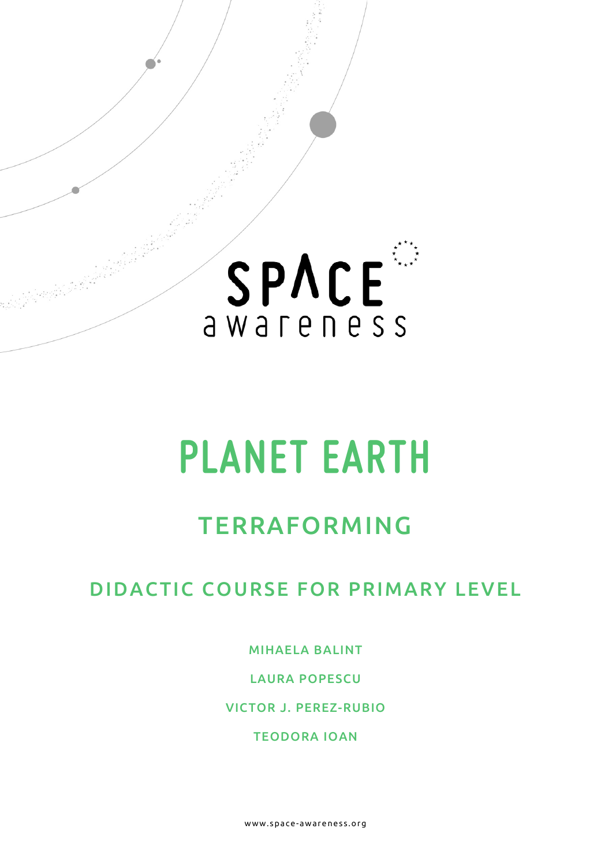

# <span id="page-0-0"></span>**PLANET EARTH**

## TERRAFORMING

## DIDACTIC COURSE FOR PRIMARY LEVEL

MIHAELA BALINT

LAURA POPESCU

VICTOR J. PEREZ-RUBIO

TEODORA IOAN

www.space- awareness.org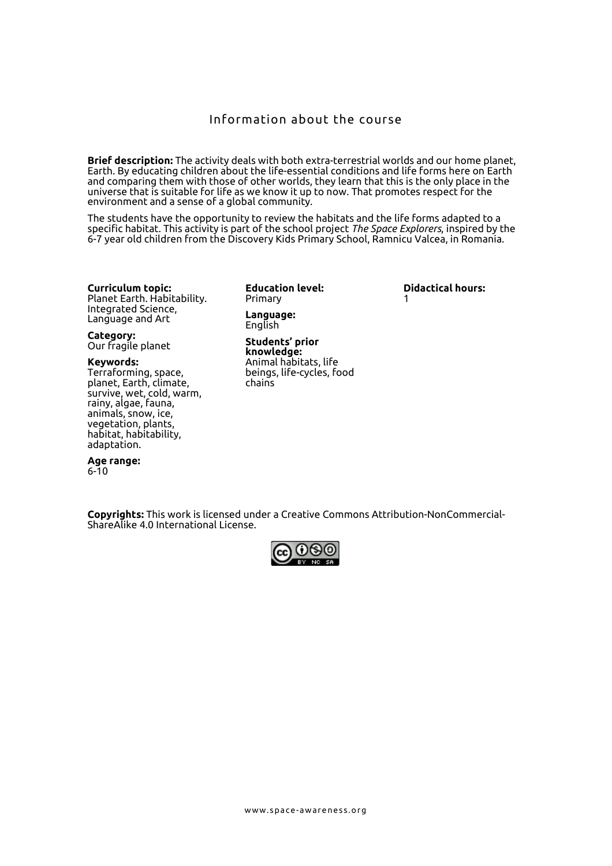#### Information about the course

**Brief description:** The activity deals with both extra-terrestrial worlds and our home planet, Earth. By educating children about the life-essential conditions and life forms here on Earth and comparing them with those of other worlds, they learn that this is the only place in the universe that is suitable for life as we know it up to now. That promotes respect for the environment and a sense of a global community.

The students have the opportunity to review the habitats and the life forms adapted to a specific habitat. This activity is part of the school project *The Space Explorers*, inspired by the 6-7 year old children from the Discovery Kids Primary School, Ramnicu Valcea, in Romania.

**Curriculum topic:**  Planet Earth. Habitability. Integrated Science, Language and Art

**Category:** Our fragile planet

#### **Keywords:**

Terraforming, space, planet, Earth, climate, survive, wet, cold, warm, rainy, algae, fauna, animals, snow, ice, vegetation, plants, habitat, habitability, adaptation.

**Age range:** 6-10

**Education level:** Primary **Language:**

English

**Students' prior knowledge:** Animal habitats, life beings, life-cycles, food chains

**Didactical hours:**  1

**Copyrights:** This work is licensed under a [Creative Commons Attribution-NonCommercial-](http://creativecommons.org/licenses/by-nc-sa/4.0/)[ShareAlike 4.0 International License.](http://creativecommons.org/licenses/by-nc-sa/4.0/)

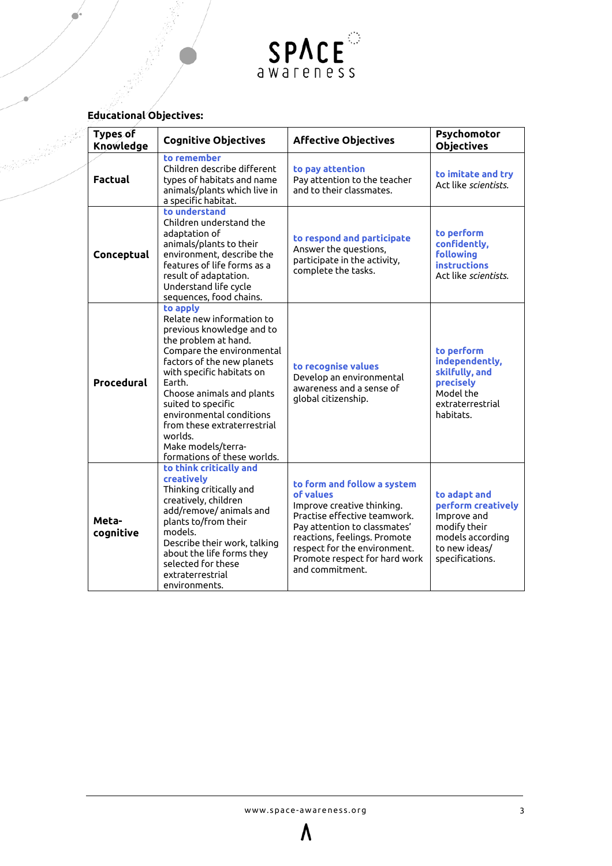

### **Educational Objectives:**

anglish palla

| Types of<br>Knowledge | <b>Cognitive Objectives</b>                                                                                                                                                                                                                                                                                                                                                | <b>Affective Objectives</b>                                                                                                                                                                                                                                | Psychomotor<br><b>Objectives</b>                                                                                          |
|-----------------------|----------------------------------------------------------------------------------------------------------------------------------------------------------------------------------------------------------------------------------------------------------------------------------------------------------------------------------------------------------------------------|------------------------------------------------------------------------------------------------------------------------------------------------------------------------------------------------------------------------------------------------------------|---------------------------------------------------------------------------------------------------------------------------|
| <b>Factual</b>        | to remember<br>Children describe different<br>types of habitats and name<br>animals/plants which live in<br>a specific habitat.                                                                                                                                                                                                                                            | to pay attention<br>Pay attention to the teacher<br>and to their classmates.                                                                                                                                                                               | to imitate and try<br>Act like scientists.                                                                                |
| Conceptual            | to understand<br>Children understand the<br>adaptation of<br>animals/plants to their<br>environment, describe the<br>features of life forms as a<br>result of adaptation.<br>Understand life cycle<br>sequences, food chains.                                                                                                                                              | to respond and participate<br>Answer the questions,<br>participate in the activity,<br>complete the tasks.                                                                                                                                                 | to perform<br>confidently,<br><b>following</b><br><b>instructions</b><br>Act like scientists.                             |
| Procedural            | to apply<br>Relate new information to<br>previous knowledge and to<br>the problem at hand.<br>Compare the environmental<br>factors of the new planets<br>with specific habitats on<br>Earth.<br>Choose animals and plants<br>suited to specific<br>environmental conditions<br>from these extraterrestrial<br>worlds.<br>Make models/terra-<br>formations of these worlds. | to recognise values<br>Develop an environmental<br>awareness and a sense of<br>global citizenship.                                                                                                                                                         | to perform<br>independently,<br>skilfully, and<br>precisely<br>Model the<br>extraterrestrial<br>habitats.                 |
| Meta-<br>cognitive    | to think critically and<br>creatively<br>Thinking critically and<br>creatively, children<br>add/remove/ animals and<br>plants to/from their<br>models.<br>Describe their work, talking<br>about the life forms they<br>selected for these<br>extraterrestrial<br>environments.                                                                                             | to form and follow a system<br>of values<br>Improve creative thinking.<br>Practise effective teamwork.<br>Pay attention to classmates'<br>reactions, feelings. Promote<br>respect for the environment.<br>Promote respect for hard work<br>and commitment. | to adapt and<br>perform creatively<br>Improve and<br>modify their<br>models according<br>to new ideas/<br>specifications. |

 $\Lambda$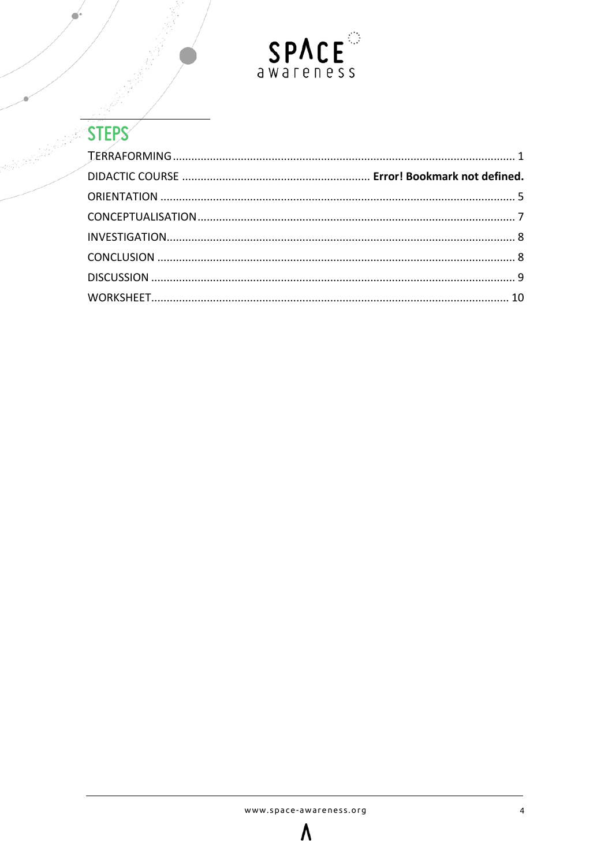

<span id="page-3-0"></span>

| <b>STEPS</b> |  |
|--------------|--|
|              |  |
|              |  |
|              |  |
|              |  |
|              |  |
|              |  |
|              |  |
|              |  |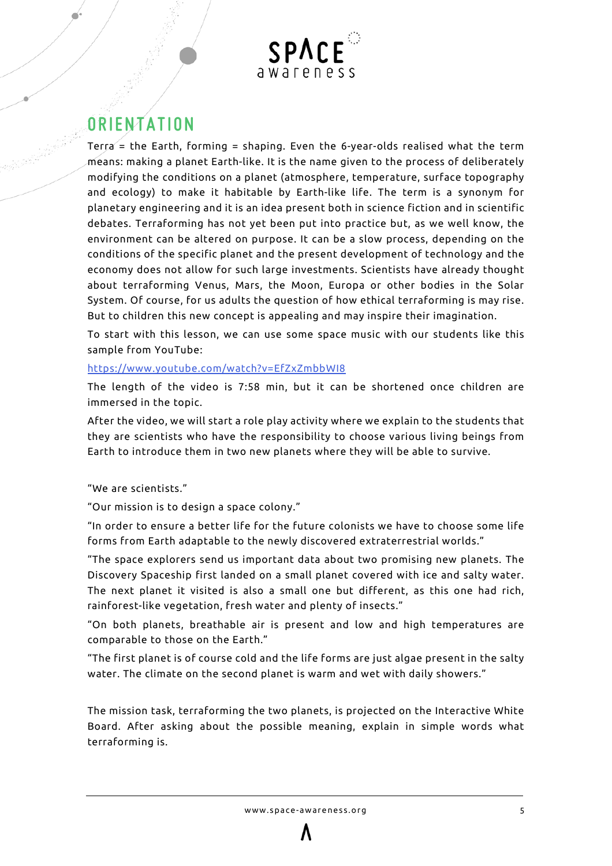

## **ORIENTATION**

Terra = the Earth, forming = shaping. Even the 6-year-olds realised what the term means: making a planet Earth-like. It is the name given to the process of deliberately modifying the conditions on a planet (atmosphere, temperature, surface topography and ecology) to make it habitable by Earth-like life. The term is a synonym for planetary engineering and it is an idea present both in science fiction and in scientific debates. Terraforming has not yet been put into practice but, as we well know, the environment can be altered on purpose. It can be a slow process, depending on the conditions of the specific planet and the present development of technology and the economy does not allow for such large investments. Scientists have already thought about terraforming Venus, Mars, the Moon, Europa or other bodies in the Solar System. Of course, for us adults the question of how ethical terraforming is may rise. But to children this new concept is appealing and may inspire their imagination.

To start with this lesson, we can use some space music with our students like this sample from YouTube:

#### <https://www.youtube.com/watch?v=EfZxZmbbWI8>

The length of the video is 7:58 min, but it can be shortened once children are immersed in the topic.

After the video, we will start a role play activity where we explain to the students that they are scientists who have the responsibility to choose various living beings from Earth to introduce them in two new planets where they will be able to survive.

#### "We are scientists."

"Our mission is to design a space colony."

"In order to ensure a better life for the future colonists we have to choose some life forms from Earth adaptable to the newly discovered extraterrestrial worlds."

"The space explorers send us important data about two promising new planets. The Discovery Spaceship first landed on a small planet covered with ice and salty water. The next planet it visited is also a small one but different, as this one had rich, rainforest-like vegetation, fresh water and plenty of insects."

"On both planets, breathable air is present and low and high temperatures are comparable to those on the Earth."

"The first planet is of course cold and the life forms are just algae present in the salty water. The climate on the second planet is warm and wet with daily showers."

The mission task, terraforming the two planets, is projected on the Interactive White Board. After asking about the possible meaning, explain in simple words what terraforming is.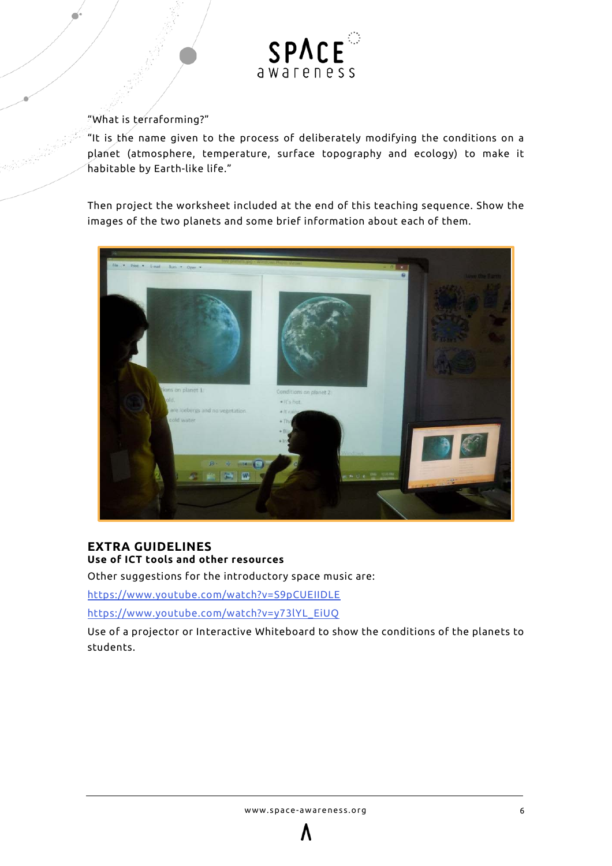

#### "What is terraforming?"

"It is the name given to the process of deliberately modifying the conditions on a planet (atmosphere, temperature, surface topography and ecology) to make it habitable by Earth-like life."

Then project the worksheet included at the end of this teaching sequence. Show the images of the two planets and some brief information about each of them.



#### **EXTRA GUIDELINES Use of ICT tools and other resources**

Other suggestions for the introductory space music are:

<https://www.youtube.com/watch?v=S9pCUEIIDLE>

[https://www.youtube.com/watch?v=y73lYL\\_EiUQ](https://www.youtube.com/watch?v=y73lYL_EiUQ)

Use of a projector or Interactive Whiteboard to show the conditions of the planets to students.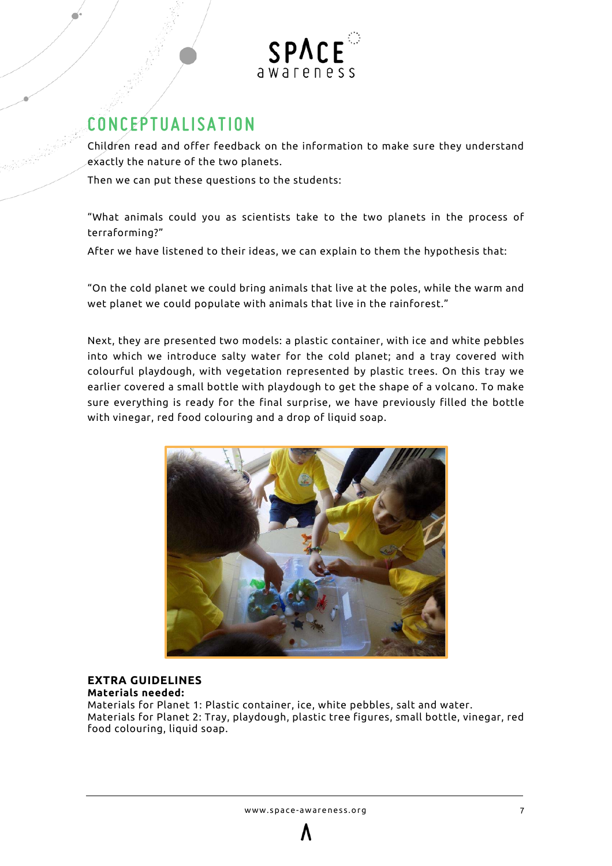

## <span id="page-6-0"></span>**CONCEPTUALISATION**

Children read and offer feedback on the information to make sure they understand exactly the nature of the two planets.

Then we can put these questions to the students:

"What animals could you as scientists take to the two planets in the process of terraforming?"

After we have listened to their ideas, we can explain to them the hypothesis that:

"On the cold planet we could bring animals that live at the poles, while the warm and wet planet we could populate with animals that live in the rainforest."

Next, they are presented two models: a plastic container, with ice and white pebbles into which we introduce salty water for the cold planet; and a tray covered with colourful playdough, with vegetation represented by plastic trees. On this tray we earlier covered a small bottle with playdough to get the shape of a volcano. To make sure everything is ready for the final surprise, we have previously filled the bottle with vinegar, red food colouring and a drop of liquid soap.



#### **EXTRA GUIDELINES Materials needed:**

Materials for Planet 1: Plastic container, ice, white pebbles, salt and water. Materials for Planet 2: Tray, playdough, plastic tree figures, small bottle, vinegar, red food colouring, liquid soap.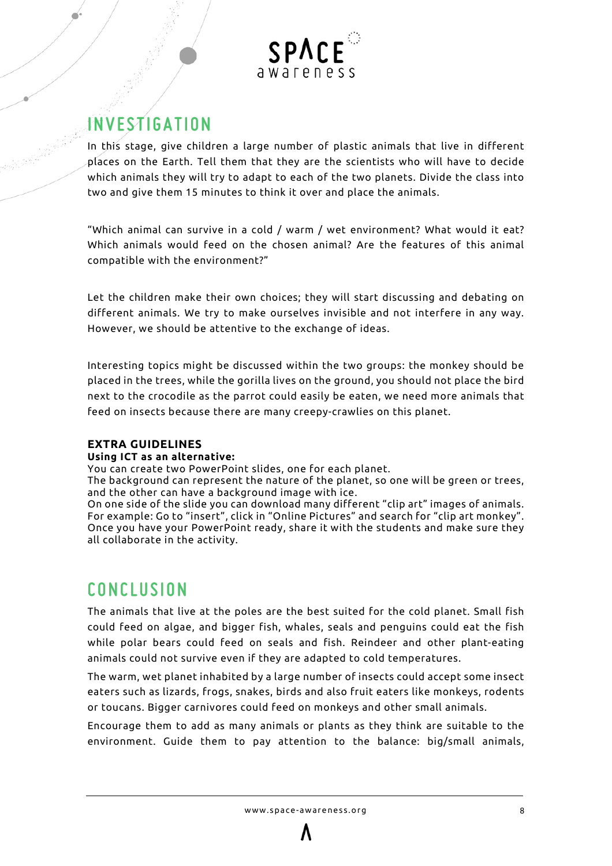

## <span id="page-7-0"></span>**INVESTIGATION**

In this stage, give children a large number of plastic animals that live in different places on the Earth. Tell them that they are the scientists who will have to decide which animals they will try to adapt to each of the two planets. Divide the class into two and give them 15 minutes to think it over and place the animals.

"Which animal can survive in a cold / warm / wet environment? What would it eat? Which animals would feed on the chosen animal? Are the features of this animal compatible with the environment?"

Let the children make their own choices; they will start discussing and debating on different animals. We try to make ourselves invisible and not interfere in any way. However, we should be attentive to the exchange of ideas.

Interesting topics might be discussed within the two groups: the monkey should be placed in the trees, while the gorilla lives on the ground, you should not place the bird next to the crocodile as the parrot could easily be eaten, we need more animals that feed on insects because there are many creepy-crawlies on this planet.

#### **EXTRA GUIDELINES**

#### **Using ICT as an alternative:**

You can create two PowerPoint slides, one for each planet.

The background can represent the nature of the planet, so one will be green or trees, and the other can have a background image with ice.

On one side of the slide you can download many different "clip art" images of animals. For example: Go to "insert", click in "Online Pictures" and search for "clip art monkey". Once you have your PowerPoint ready, share it with the students and make sure they all collaborate in the activity.

## <span id="page-7-1"></span>**CONCLUSION**

The animals that live at the poles are the best suited for the cold planet. Small fish could feed on algae, and bigger fish, whales, seals and penguins could eat the fish while polar bears could feed on seals and fish. Reindeer and other plant-eating animals could not survive even if they are adapted to cold temperatures.

The warm, wet planet inhabited by a large number of insects could accept some insect eaters such as lizards, frogs, snakes, birds and also fruit eaters like monkeys, rodents or toucans. Bigger carnivores could feed on monkeys and other small animals.

Encourage them to add as many animals or plants as they think are suitable to the environment. Guide them to pay attention to the balance: big/small animals,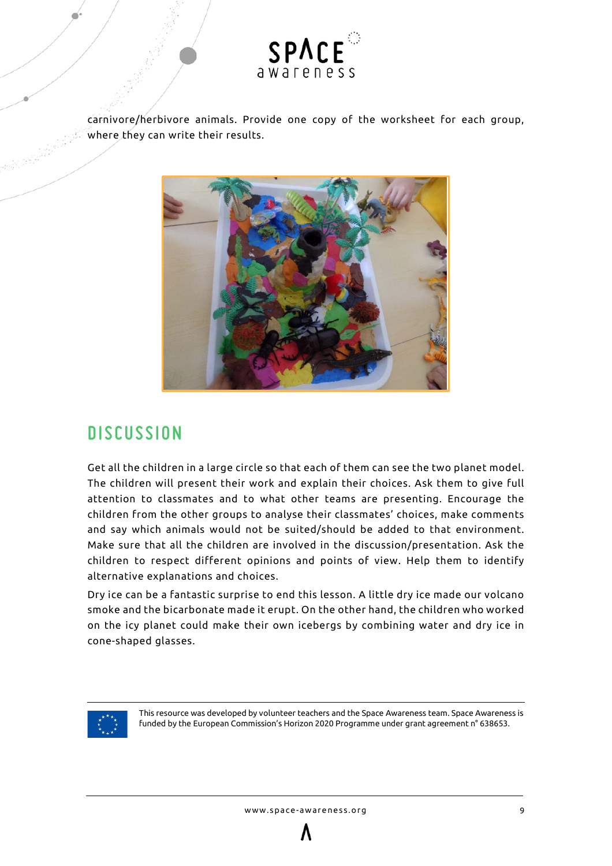

carnivore/herbivore animals. Provide one copy of the worksheet for each group, where they can write their results.



## <span id="page-8-0"></span>**DISCUSSION**

Get all the children in a large circle so that each of them can see the two planet model. The children will present their work and explain their choices. Ask them to give full attention to classmates and to what other teams are presenting. Encourage the children from the other groups to analyse their classmates' choices, make comments and say which animals would not be suited/should be added to that environment. Make sure that all the children are involved in the discussion/presentation. Ask the children to respect different opinions and points of view. Help them to identify alternative explanations and choices.

Dry ice can be a fantastic surprise to end this lesson. A little dry ice made our volcano smoke and the bicarbonate made it erupt. On the other hand, the children who worked on the icy planet could make their own icebergs by combining water and dry ice in cone-shaped glasses.



This resource was developed by volunteer teachers and the Space Awareness team. Space Awareness is funded by the European Commission's Horizon 2020 Programme under grant agreement n° 638653.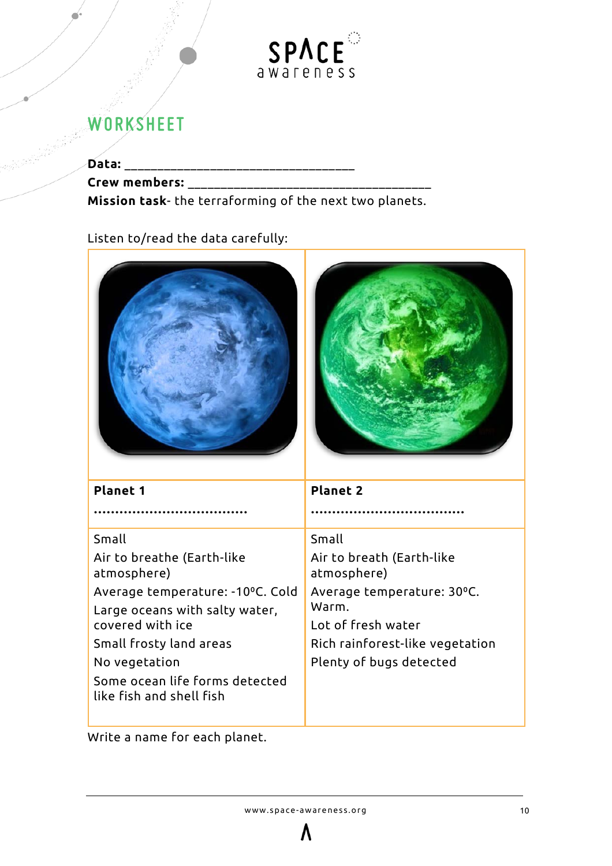

## <span id="page-9-0"></span>**WORKSHEET**

**Data:** \_\_\_\_\_\_\_\_\_\_\_\_\_\_\_\_\_\_\_\_\_\_\_\_\_\_\_\_\_\_\_\_\_\_\_

**Crew members:** \_\_\_\_\_\_\_\_\_\_\_\_\_\_\_\_\_\_\_\_\_\_\_\_\_\_\_\_\_\_\_\_\_\_\_\_\_

**Mission task**- the terraforming of the next two planets.

Listen to/read the data carefully:





| <b>Planet 1</b>                                            | <b>Planet 2</b>                          |  |
|------------------------------------------------------------|------------------------------------------|--|
|                                                            |                                          |  |
| Small                                                      | Small                                    |  |
| Air to breathe (Earth-like<br>atmosphere)                  | Air to breath (Earth-like<br>atmosphere) |  |
| Average temperature: -10°C. Cold                           | Average temperature: 30°C.               |  |
| Large oceans with salty water,                             | Warm.                                    |  |
| covered with ice                                           | Lot of fresh water                       |  |
| Small frosty land areas                                    | Rich rainforest-like vegetation          |  |
| No vegetation                                              | Plenty of bugs detected                  |  |
| Some ocean life forms detected<br>like fish and shell fish |                                          |  |

Write a name for each planet.